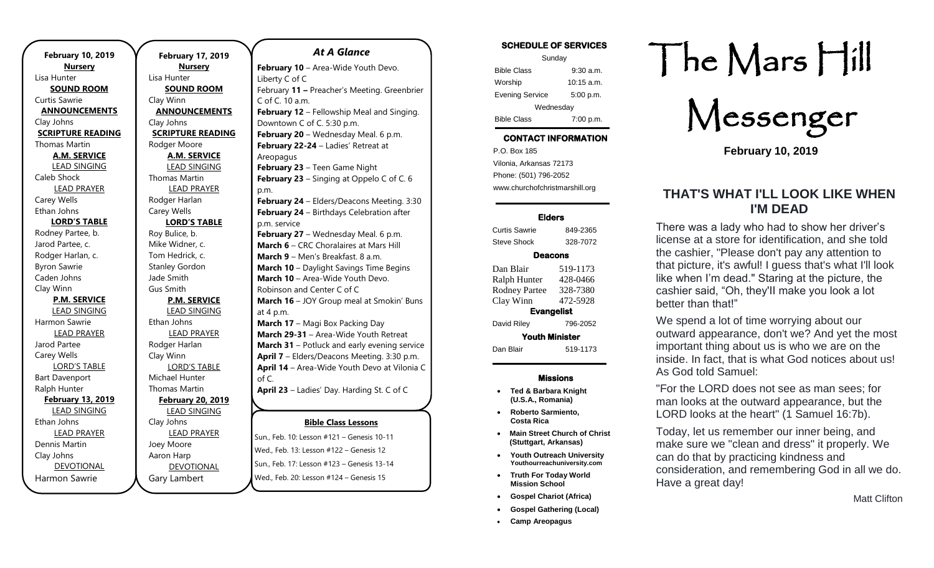**February 10, 2019 Nursery** Lisa Hunter **SOUND ROOM** Curtis Sawrie **ANNOUNCEMENTS** Clay Johns **SCRIPTURE READING** Thomas Martin **A.M. SERVICE** LEAD SINGING Caleb Shock LEAD PRAYER Carey Wells Ethan Johns **LORD'S TABLE** Rodney Partee, b. Jarod Partee, c. Rodger Harlan, c. Byron Sawrie Caden Johns Clay Winn **P.M. SERVICE** LEAD SINGING Harmon Sawrie LEAD PRAYER Jarod Partee Carey Wells LORD'S TABLE Bart Davenport Ralph Hunter **February 13, 2019** LEAD SINGING Ethan Johns LEAD PRAYER Dennis Martin Clay Johns DEVOTIONAL Harmon Sawrie

**February 17, 2019 Nursery** Lisa Hunter **SOUND ROOM** Clay Winn **ANNOUNCEMENTS** Clay Johns **SCRIPTURE READING** Rodger Moore **A.M. SERVICE** LEAD SINGING Thomas Martin LEAD PRAYER Rodger Harlan Carey Wells **LORD'S TABLE** Roy Bulice, b. Mike Widner, c. Tom Hedrick, c. Stanley Gordon Jade Smith Gus Smith **P.M. SERVICE** LEAD SINGING Ethan Johns LEAD PRAYER Rodger Harlan Clay Winn LORD'S TABLE Michael Hunter Thomas Martin **February 20, 2019** LEAD SINGING Clay Johns LEAD PRAYER Joey Moore Aaron Harp DEVOTIONAL

Gary Lambert

### *At A Glance*

**Bible Class Lessons February 10 - Area-Wide Youth Devo.** Liberty C of C February **11 –** Preacher's Meeting. Greenbrier C of C. 10 a.m. **February 12** – Fellowship Meal and Singing. Downtown C of C. 5:30 p.m. **February 20** – Wednesday Meal. 6 p.m. **February 22-24** – Ladies' Retreat at Areopagus **February 23** – Teen Game Night **February 23** – Singing at Oppelo C of C. 6 p.m. **February 24** – Elders/Deacons Meeting. 3:30 **February 24** – Birthdays Celebration after p.m. service **February 27** – Wednesday Meal. 6 p.m. **March 6** – CRC Choralaires at Mars Hill **March 9** – Men's Breakfast. 8 a.m. **March 10** – Daylight Savings Time Begins **March 10** – Area-Wide Youth Devo. Robinson and Center C of C **March 16** – JOY Group meal at Smokin' Buns at 4 p.m. **March 17 - Magi Box Packing Day March 29-31** – Area-Wide Youth Retreat **March 31** – Potluck and early evening service **April 7** – Elders/Deacons Meeting. 3:30 p.m. **April 14** – Area-Wide Youth Devo at Vilonia C of C. **April 23** – Ladies' Day. Harding St. C of C **April 26-27** – Ladies' Sewing Day at

Sun., Feb. 10: Lesson #121 – Genesis 10-11 Wed., Feb. 13: Lesson #122 – Genesis 12 Sun., Feb. 17: Lesson #123 – Genesis 13-14 Wed., Feb. 20: Lesson #124 – Genesis 15

| <b>SCHEDULE OF SERVICES</b> |             |  |
|-----------------------------|-------------|--|
| Sunday                      |             |  |
| <b>Bible Class</b>          | $9:30$ a.m. |  |
| Worship                     | 10:15 a.m.  |  |
| <b>Evening Service</b>      | 5:00 p.m.   |  |
| Wednesday                   |             |  |
| <b>Bible Class</b>          | 7:00 p.m.   |  |

## **CONTACT INFORMATION**

. .o. Box 166<br>Vilonia, Arkansas 72173 P.O. Box 185 Phone: (501) 796-2052 www.churchofchristmarshill.org

### **Elders**

Curtis Sawrie 849-2365 Steve Shock 328-7072

### **Deacons**

| Dan Blair<br>Ralph Hunter | 519-1173<br>428-0466 |  |
|---------------------------|----------------------|--|
| <b>Rodney Partee</b>      | 328-7380             |  |
| Clay Winn                 | 472-5928             |  |
| <b>Evangelist</b>         |                      |  |
| David Riley               | 796-2052             |  |
| <b>Youth Minister</b>     |                      |  |
| Dan Blair                 | 519-1173             |  |

### **Missions**

- **Ted & Barbara Knight (U.S.A., Romania)**
- **Roberto Sarmiento, Costa Rica**
- **Main Street Church of Christ (Stuttgart, Arkansas)**
- **Youth Outreach University Youthourreachuniversity.com**
- **Truth For Today World Mission School**
- **Gospel Chariot (Africa)**
- **Gospel Gathering (Local)**
- **Camp Areopagus**

# The Mars Hill

Messenger

**February 10, 2019**

## **THAT'S WHAT I'LL LOOK LIKE WHEN I'M DEAD**

There was a lady who had to show her driver's license at a store for identification, and she told the cashier, "Please don't pay any attention to that picture, it's awful! I guess that's what I'll look like when I'm dead." Staring at the picture, the cashier said, "Oh, they'II make you look a lot better than that!"

We spend a lot of time worrying about our outward appearance, don't we? And yet the most important thing about us is who we are on the inside. In fact, that is what God notices about us! As God told Samuel:

"For the LORD does not see as man sees; for man looks at the outward appearance, but the LORD looks at the heart" (1 Samuel 16:7b).

Today, let us remember our inner being, and make sure we "clean and dress" it properly. We can do that by practicing kindness and consideration, and remembering God in all we do. Have a great day!

Matt Clifton